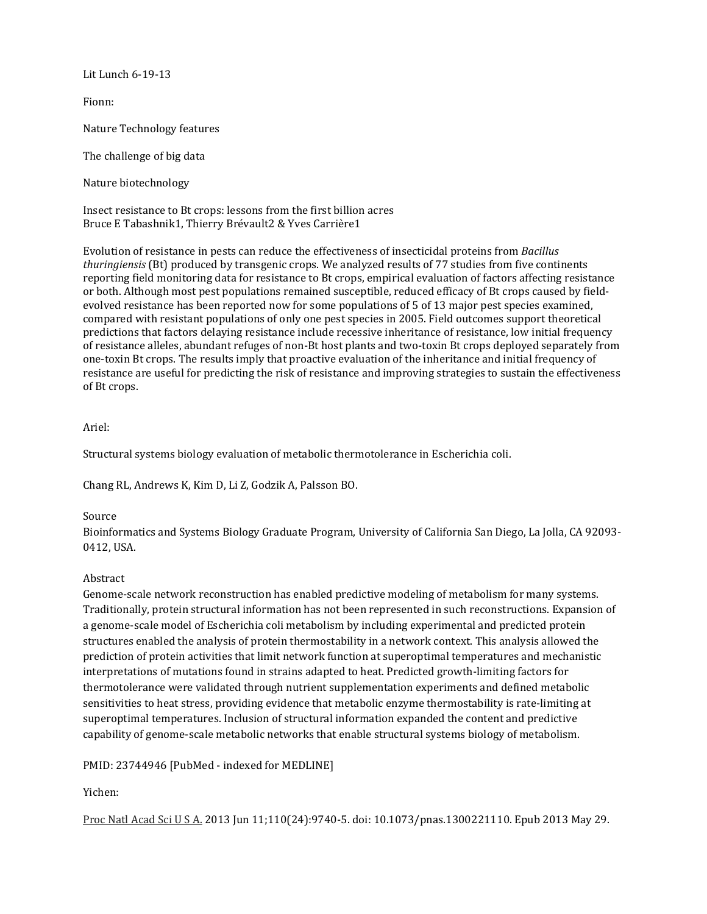Lit Lunch 6-19-13

Fionn:

Nature Technology features

The challenge of big data

Nature biotechnology

Insect resistance to Bt crops: lessons from the first billion acres Bruce E Tabashnik1, Thierry Brévault2 & Yves Carrière1

Evolution of resistance in pests can reduce the effectiveness of insecticidal proteins from *Bacillus thuringiensis* (Bt) produced by transgenic crops. We analyzed results of 77 studies from five continents reporting field monitoring data for resistance to Bt crops, empirical evaluation of factors affecting resistance or both. Although most pest populations remained susceptible, reduced efficacy of Bt crops caused by fieldevolved resistance has been reported now for some populations of 5 of 13 major pest species examined, compared with resistant populations of only one pest species in 2005. Field outcomes support theoretical predictions that factors delaying resistance include recessive inheritance of resistance, low initial frequency of resistance alleles, abundant refuges of non-Bt host plants and two-toxin Bt crops deployed separately from one-toxin Bt crops. The results imply that proactive evaluation of the inheritance and initial frequency of resistance are useful for predicting the risk of resistance and improving strategies to sustain the effectiveness of Bt crops.

### Ariel:

Structural systems biology evaluation of metabolic thermotolerance in Escherichia coli.

Chang RL, Andrews K, Kim D, Li Z, Godzik A, Palsson BO.

#### Source

Bioinformatics and Systems Biology Graduate Program, University of California San Diego, La Jolla, CA 92093- 0412, USA.

### Abstract

Genome-scale network reconstruction has enabled predictive modeling of metabolism for many systems. Traditionally, protein structural information has not been represented in such reconstructions. Expansion of a genome-scale model of Escherichia coli metabolism by including experimental and predicted protein structures enabled the analysis of protein thermostability in a network context. This analysis allowed the prediction of protein activities that limit network function at superoptimal temperatures and mechanistic interpretations of mutations found in strains adapted to heat. Predicted growth-limiting factors for thermotolerance were validated through nutrient supplementation experiments and defined metabolic sensitivities to heat stress, providing evidence that metabolic enzyme thermostability is rate-limiting at superoptimal temperatures. Inclusion of structural information expanded the content and predictive capability of genome-scale metabolic networks that enable structural systems biology of metabolism.

### PMID: 23744946 [PubMed - indexed for MEDLINE]

Yichen:

Proc Natl Acad Sci U S A. 2013 Jun 11;110(24):9740-5. doi: 10.1073/pnas.1300221110. Epub 2013 May 29.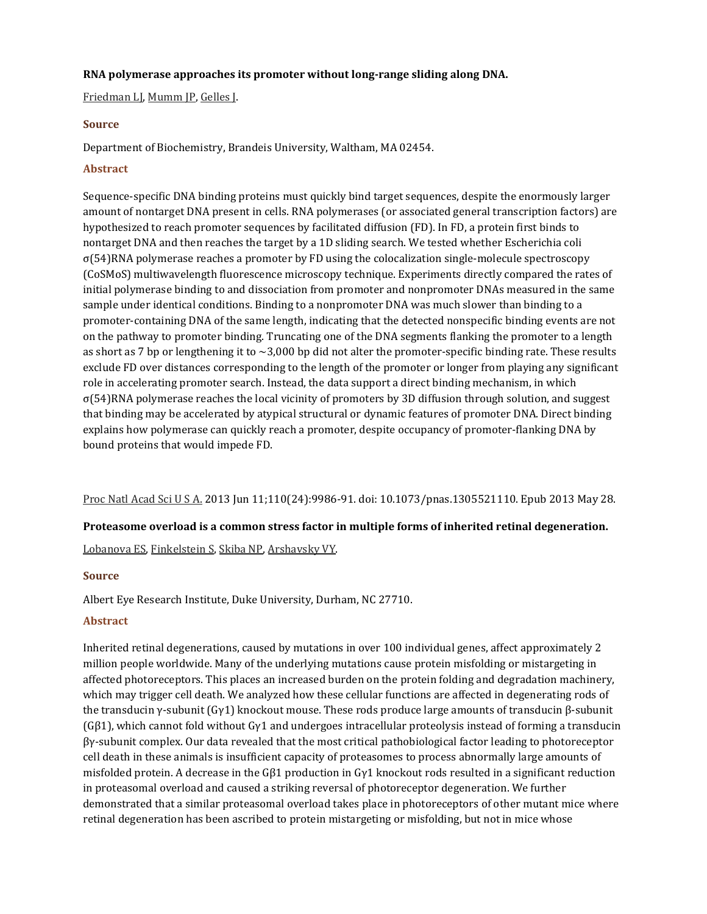### **RNA polymerase approaches its promoter without long-range sliding along DNA.**

[Friedman LJ](http://www.ncbi.nlm.nih.gov/pubmed?term=Friedman%20LJ%5BAuthor%5D&cauthor=true&cauthor_uid=23720315), [Mumm JP](http://www.ncbi.nlm.nih.gov/pubmed?term=Mumm%20JP%5BAuthor%5D&cauthor=true&cauthor_uid=23720315), [Gelles J](http://www.ncbi.nlm.nih.gov/pubmed?term=Gelles%20J%5BAuthor%5D&cauthor=true&cauthor_uid=23720315).

### **Source**

Department of Biochemistry, Brandeis University, Waltham, MA 02454.

### **Abstract**

Sequence-specific DNA binding proteins must quickly bind target sequences, despite the enormously larger amount of nontarget DNA present in cells. RNA polymerases (or associated general transcription factors) are hypothesized to reach promoter sequences by facilitated diffusion (FD). In FD, a protein first binds to nontarget DNA and then reaches the target by a 1D sliding search. We tested whether Escherichia coli σ(54)RNA polymerase reaches a promoter by FD using the colocalization single-molecule spectroscopy (CoSMoS) multiwavelength fluorescence microscopy technique. Experiments directly compared the rates of initial polymerase binding to and dissociation from promoter and nonpromoter DNAs measured in the same sample under identical conditions. Binding to a nonpromoter DNA was much slower than binding to a promoter-containing DNA of the same length, indicating that the detected nonspecific binding events are not on the pathway to promoter binding. Truncating one of the DNA segments flanking the promoter to a length as short as 7 bp or lengthening it to ∼3,000 bp did not alter the promoter-specific binding rate. These results exclude FD over distances corresponding to the length of the promoter or longer from playing any significant role in accelerating promoter search. Instead, the data support a direct binding mechanism, in which σ(54)RNA polymerase reaches the local vicinity of promoters by 3D diffusion through solution, and suggest that binding may be accelerated by atypical structural or dynamic features of promoter DNA. Direct binding explains how polymerase can quickly reach a promoter, despite occupancy of promoter-flanking DNA by bound proteins that would impede FD.

Proc Natl Acad Sci U S A. 2013 Jun 11;110(24):9986-91. doi: 10.1073/pnas.1305521110. Epub 2013 May 28.

### **Proteasome overload is a common stress factor in multiple forms of inherited retinal degeneration.**

[Lobanova ES](http://www.ncbi.nlm.nih.gov/pubmed?term=Lobanova%20ES%5BAuthor%5D&cauthor=true&cauthor_uid=23716657), [Finkelstein S,](http://www.ncbi.nlm.nih.gov/pubmed?term=Finkelstein%20S%5BAuthor%5D&cauthor=true&cauthor_uid=23716657) [Skiba NP](http://www.ncbi.nlm.nih.gov/pubmed?term=Skiba%20NP%5BAuthor%5D&cauthor=true&cauthor_uid=23716657), [Arshavsky VY](http://www.ncbi.nlm.nih.gov/pubmed?term=Arshavsky%20VY%5BAuthor%5D&cauthor=true&cauthor_uid=23716657).

#### **Source**

Albert Eye Research Institute, Duke University, Durham, NC 27710.

### **Abstract**

Inherited retinal degenerations, caused by mutations in over 100 individual genes, affect approximately 2 million people worldwide. Many of the underlying mutations cause protein misfolding or mistargeting in affected photoreceptors. This places an increased burden on the protein folding and degradation machinery, which may trigger cell death. We analyzed how these cellular functions are affected in degenerating rods of the transducin γ-subunit (Gγ1) knockout mouse. These rods produce large amounts of transducin β-subunit (Gβ1), which cannot fold without Gγ1 and undergoes intracellular proteolysis instead of forming a transducin βγ-subunit complex. Our data revealed that the most critical pathobiological factor leading to photoreceptor cell death in these animals is insufficient capacity of proteasomes to process abnormally large amounts of misfolded protein. A decrease in the Gβ1 production in Gγ1 knockout rods resulted in a significant reduction in proteasomal overload and caused a striking reversal of photoreceptor degeneration. We further demonstrated that a similar proteasomal overload takes place in photoreceptors of other mutant mice where retinal degeneration has been ascribed to protein mistargeting or misfolding, but not in mice whose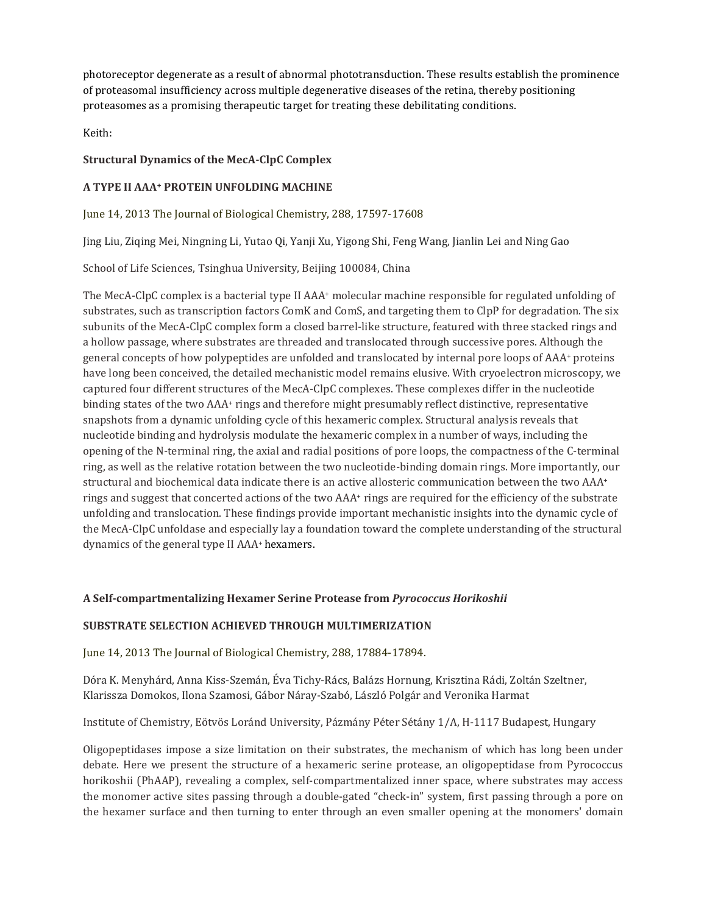photoreceptor degenerate as a result of abnormal phototransduction. These results establish the prominence of proteasomal insufficiency across multiple degenerative diseases of the retina, thereby positioning proteasomes as a promising therapeutic target for treating these debilitating conditions.

Keith:

# **Structural Dynamics of the MecA-ClpC Complex**

# **A TYPE II AAA+ PROTEIN UNFOLDING MACHINE**

June 14, 2013 The Journal of Biological Chemistry, 288, 17597-17608

[Jing Liu](http://www.jbc.org/search?author1=Jing+Liu&sortspec=date&submit=Submit), [Ziqing Mei](http://www.jbc.org/search?author1=Ziqing+Mei&sortspec=date&submit=Submit)[, Ningning Li,](http://www.jbc.org/search?author1=Ningning+Li&sortspec=date&submit=Submit) [Yutao Qi](http://www.jbc.org/search?author1=Yutao+Qi&sortspec=date&submit=Submit), [Yanji Xu](http://www.jbc.org/search?author1=Yanji+Xu&sortspec=date&submit=Submit), [Yigong Shi](http://www.jbc.org/search?author1=Yigong+Shi&sortspec=date&submit=Submit), [Feng Wang,](http://www.jbc.org/search?author1=Feng+Wang&sortspec=date&submit=Submit) [Jianlin Lei](http://www.jbc.org/search?author1=Jianlin+Lei&sortspec=date&submit=Submit) and [Ning Gao](http://www.jbc.org/search?author1=Ning+Gao&sortspec=date&submit=Submit)

School of Life Sciences, Tsinghua University, Beijing 100084, China

The MecA-ClpC complex is a bacterial type II AAA<sup>+</sup> molecular machine responsible for regulated unfolding of substrates, such as transcription factors ComK and ComS, and targeting them to ClpP for degradation. The six subunits of the MecA-ClpC complex form a closed barrel-like structure, featured with three stacked rings and a hollow passage, where substrates are threaded and translocated through successive pores. Although the general concepts of how polypeptides are unfolded and translocated by internal pore loops of AAA+ proteins have long been conceived, the detailed mechanistic model remains elusive. With cryoelectron microscopy, we captured four different structures of the MecA-ClpC complexes. These complexes differ in the nucleotide binding states of the two AAA<sup>+</sup> rings and therefore might presumably reflect distinctive, representative snapshots from a dynamic unfolding cycle of this hexameric complex. Structural analysis reveals that nucleotide binding and hydrolysis modulate the hexameric complex in a number of ways, including the opening of the N-terminal ring, the axial and radial positions of pore loops, the compactness of the C-terminal ring, as well as the relative rotation between the two nucleotide-binding domain rings. More importantly, our structural and biochemical data indicate there is an active allosteric communication between the two AAA<sup>+</sup> rings and suggest that concerted actions of the two AAA<sup>+</sup> rings are required for the efficiency of the substrate unfolding and translocation. These findings provide important mechanistic insights into the dynamic cycle of the MecA-ClpC unfoldase and especially lay a foundation toward the complete understanding of the structural dynamics of the general type II AAA+ hexamers.

### **A Self-compartmentalizing Hexamer Serine Protease from** *Pyrococcus Horikoshii*

# **SUBSTRATE SELECTION ACHIEVED THROUGH MULTIMERIZATION**

June 14, 2013 The Journal of Biological Chemistry, 288, 17884-17894.

[Dóra K. Menyhárd](http://www.jbc.org/search?author1=D%C3%B3ra+K.+Menyh%C3%A1rd&sortspec=date&submit=Submit), [Anna Kiss](http://www.jbc.org/search?author1=Anna+Kiss-Szem%C3%A1n&sortspec=date&submit=Submit)-Szemán, [Éva Tichy](http://www.jbc.org/search?author1=%C3%89va+Tichy-R%C3%A1cs&sortspec=date&submit=Submit)-Rács, [Balázs Hornung](http://www.jbc.org/search?author1=Bal%C3%A1zs+Hornung&sortspec=date&submit=Submit), [Krisztina Rádi](http://www.jbc.org/search?author1=Krisztina+R%C3%A1di&sortspec=date&submit=Submit), [Zoltán Szeltner](http://www.jbc.org/search?author1=Zolt%C3%A1n+Szeltner&sortspec=date&submit=Submit), [Klarissza Domokos](http://www.jbc.org/search?author1=Klarissza+Domokos&sortspec=date&submit=Submit)[, Ilona Szamosi,](http://www.jbc.org/search?author1=Ilona+Szamosi&sortspec=date&submit=Submit) [Gábor Náray](http://www.jbc.org/search?author1=G%C3%A1bor+N%C3%A1ray-Szab%C3%B3&sortspec=date&submit=Submit)-Szabó, [László Polgár](http://www.jbc.org/search?author1=L%C3%A1szl%C3%B3+Polg%C3%A1r&sortspec=date&submit=Submit) and [Veronika Harmat](http://www.jbc.org/search?author1=Veronika+Harmat&sortspec=date&submit=Submit)

Institute of Chemistry, Eötvös Loránd University, Pázmány Péter Sétány 1/A, H-1117 Budapest, Hungary

Oligopeptidases impose a size limitation on their substrates, the mechanism of which has long been under debate. Here we present the structure of a hexameric serine protease, an oligopeptidase from Pyrococcus horikoshii (PhAAP), revealing a complex, self-compartmentalized inner space, where substrates may access the monomer active sites passing through a double-gated "check-in" system, first passing through a pore on the hexamer surface and then turning to enter through an even smaller opening at the monomers' domain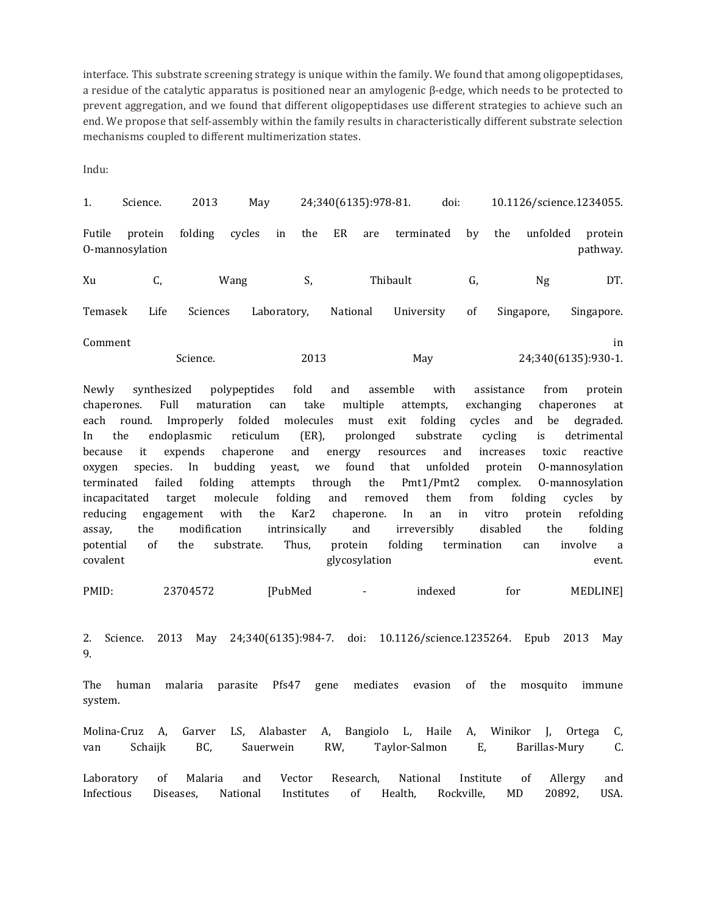interface. This substrate screening strategy is unique within the family. We found that among oligopeptidases, a residue of the catalytic apparatus is positioned near an amylogenic β-edge, which needs to be protected to prevent aggregation, and we found that different oligopeptidases use different strategies to achieve such an end. We propose that self-assembly within the family results in characteristically different substrate selection mechanisms coupled to different multimerization states.

Indu:

| 1.      | Science.                   | 2013     | May          |      | 24;340(6135):978-81. |          | doi:       |    |     |            | 10.1126/science.1234055.  |
|---------|----------------------------|----------|--------------|------|----------------------|----------|------------|----|-----|------------|---------------------------|
| Futile  | protein<br>0-mannosylation | folding  | cycles<br>in | the  | ER                   | are      | terminated | by | the | unfolded   | protein<br>pathway.       |
| Xu      | C,                         |          | Wang         | S,   |                      | Thibault |            | G, |     | Ng         | DT.                       |
| Temasek | Life                       | Sciences | Laboratory,  |      | National             |          | University | of |     | Singapore, | Singapore.                |
| Comment |                            | Science. |              | 2013 |                      |          | May        |    |     |            | in<br>24;340(6135):930-1. |

Newly synthesized polypeptides fold and assemble with assistance from protein chaperones. Full maturation can take multiple attempts, exchanging chaperones at each round. Improperly folded molecules must exit folding cycles and be degraded. In the endoplasmic reticulum (ER), prolonged substrate cycling is detrimental because it expends chaperone and energy resources and increases toxic reactive oxygen species. In budding yeast, we found that unfolded protein O-mannosylation terminated failed folding attempts through the Pmt1/Pmt2 complex. O-mannosylation incapacitated target molecule folding and removed them from folding cycles by reducing engagement with the Kar2 chaperone. In an in vitro protein refolding assay, the modification intrinsically and irreversibly disabled the folding potential of the substrate. Thus, protein folding termination can involve a covalent glycosylation event.

PMID: 23704572 [PubMed - indexed for MEDLINE]

2. Science. 2013 May 24;340(6135):984-7. doi: 10.1126/science.1235264. Epub 2013 May 9.

The human malaria parasite Pfs47 gene mediates evasion of the mosquito immune system.

Molina-Cruz A, Garver LS, Alabaster A, Bangiolo L, Haile A, Winikor J, Ortega C, van Schaijk BC, Sauerwein RW, Taylor-Salmon E, Barillas-Mury C.

Laboratory of Malaria and Vector Research, National Institute of Allergy and Infectious Diseases, National Institutes of Health, Rockville, MD 20892, USA.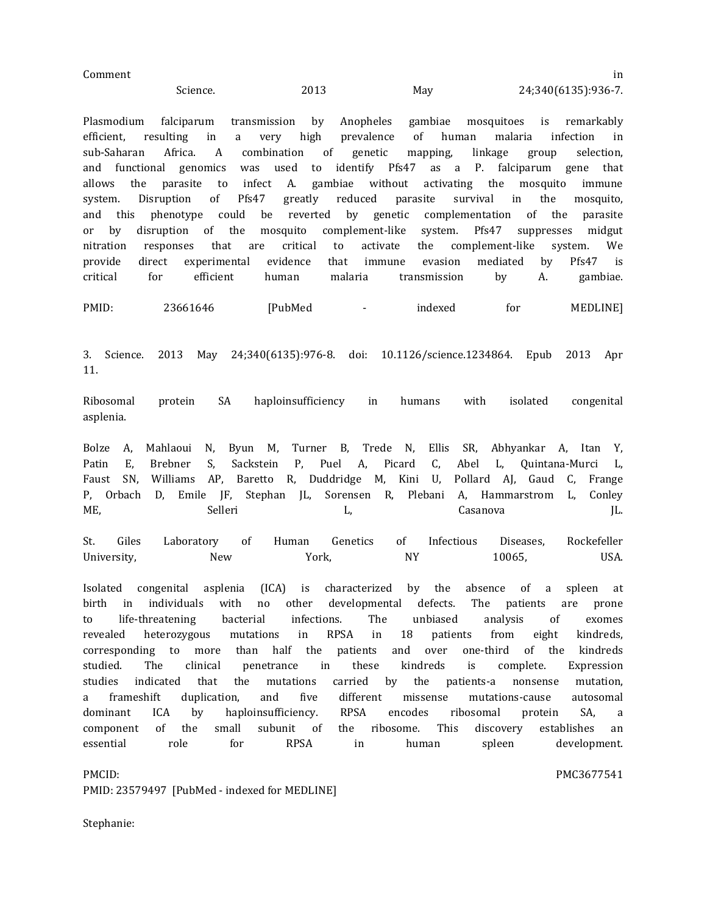| Comment |          |      |     |                     |
|---------|----------|------|-----|---------------------|
|         | Science. | 2013 | May | 24;340(6135):936-7. |

Plasmodium falciparum transmission by Anopheles gambiae mosquitoes is remarkably efficient, resulting in a very high prevalence of human malaria infection in sub-Saharan Africa. A combination of genetic mapping, linkage group selection, and functional genomics was used to identify Pfs47 as a P. falciparum gene that allows the parasite to infect A. gambiae without activating the mosquito immune allows the parasite to infect A. gambiae without activating the mosquito immune system. Disruption of Pfs47 greatly reduced parasite survival in the mosquito, system. Disruption of Pfs47 greatly reduced parasite survival in the mosquito, and this phenotype could be reverted by genetic complementation of the parasite<br>or by disruption of the mosquito complement-like system. Pfs47 suppresses midgut or by disruption of the mosquito complement-like system. Pfs47 nitration responses that are critical to activate the complemer nitration responses that are critical to activate the complement-like system. We provide direct experimental evidence that immune evasion mediated by Pfs47 is provide direct experimental evidence that immune evasion mediated by Pfs47 is critical for efficient human malaria transmission by A. gambiae.

PMID: 23661646 [PubMed - indexed for MEDLINE]

3. Science. 2013 May 24;340(6135):976-8. doi: 10.1126/science.1234864. Epub 2013 Apr 11.

Ribosomal protein SA haploinsufficiency in humans with isolated congenital asplenia.

Bolze A, Mahlaoui N, Byun M, Turner B, Trede N, Ellis SR, Abhyankar A, Itan Y, Patin E, Brebner S, Sackstein P, Puel A, Picard C, Abel L, Quintana-Murci L, Faust SN, Williams AP, Baretto R, Duddridge M, Kini U, Pollard AJ, Gaud C, Frange P, Orbach D, Emile JF, Stephan JL, Sorensen R, Plebani A, Hammarstrom L, Conley ME, Selleri L, L, Casanova JL.

St. Giles Laboratory of Human Genetics of Infectious Diseases, Rockefeller University, New York, NY 10065, USA.

Isolated congenital asplenia (ICA) is characterized by the absence of a spleen at birth in individuals with no other developmental defects. The patients are prone to life-threatening bacterial infections. The unbiased analysis of exomes revealed heterozygous mutations in RPSA in 18 patients from eight kindreds, corresponding to more than half the patients and over one-third of the kindreds studied. The clinical penetrance in these kindreds is complete. Expression studies indicated that the mutations carried by the patients-a nonsense mutation, a frameshift duplication, and five different missense mutations-cause autosomal dominant ICA by haploinsufficiency. RPSA encodes ribosomal protein SA, a component of the small subunit of the ribosome. This discovery establishes an essential role for RPSA in human spleen development.

PMCID: PMCID: PMID: 23579497 [PubMed - indexed for MEDLINE]

Stephanie: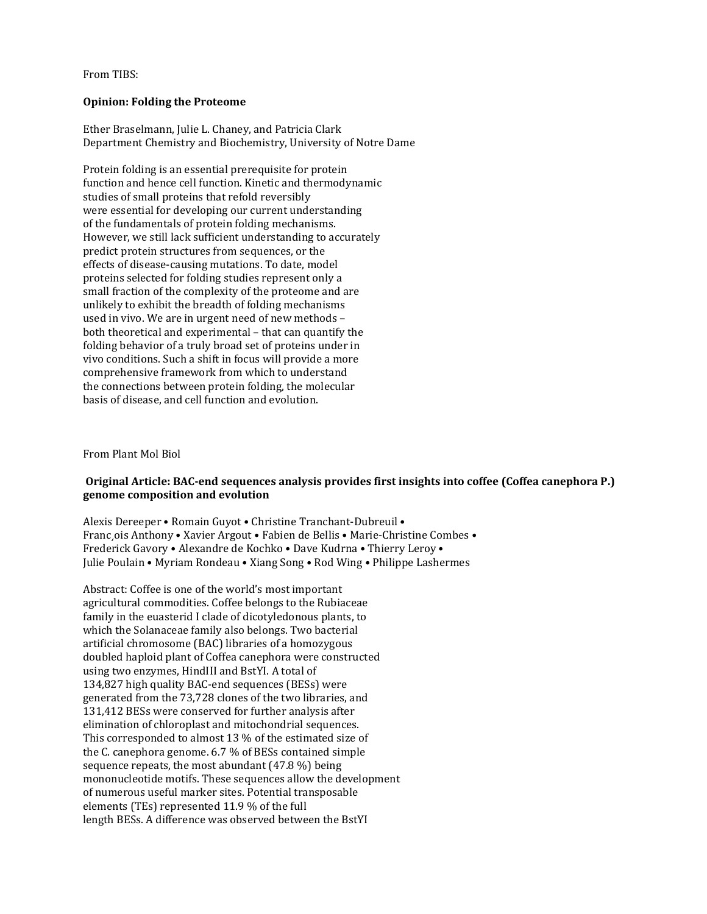From TIBS:

### **Opinion: Folding the Proteome**

Ether Braselmann, Julie L. Chaney, and Patricia Clark Department Chemistry and Biochemistry, University of Notre Dame

Protein folding is an essential prerequisite for protein function and hence cell function. Kinetic and thermodynamic studies of small proteins that refold reversibly were essential for developing our current understanding of the fundamentals of protein folding mechanisms. However, we still lack sufficient understanding to accurately predict protein structures from sequences, or the effects of disease-causing mutations. To date, model proteins selected for folding studies represent only a small fraction of the complexity of the proteome and are unlikely to exhibit the breadth of folding mechanisms used in vivo. We are in urgent need of new methods – both theoretical and experimental – that can quantify the folding behavior of a truly broad set of proteins under in vivo conditions. Such a shift in focus will provide a more comprehensive framework from which to understand the connections between protein folding, the molecular basis of disease, and cell function and evolution.

From Plant Mol Biol

### **Original Article: BAC-end sequences analysis provides first insights into coffee (Coffea canephora P.) genome composition and evolution**

Alexis Dereeper • Romain Guyot • Christine Tranchant-Dubreuil • Franc¸ois Anthony • Xavier Argout • Fabien de Bellis • Marie-Christine Combes • Frederick Gavory • Alexandre de Kochko • Dave Kudrna • Thierry Leroy • Julie Poulain • Myriam Rondeau • Xiang Song • Rod Wing • Philippe Lashermes

Abstract: Coffee is one of the world's most important agricultural commodities. Coffee belongs to the Rubiaceae family in the euasterid I clade of dicotyledonous plants, to which the Solanaceae family also belongs. Two bacterial artificial chromosome (BAC) libraries of a homozygous doubled haploid plant of Coffea canephora were constructed using two enzymes, HindIII and BstYI. A total of 134,827 high quality BAC-end sequences (BESs) were generated from the 73,728 clones of the two libraries, and 131,412 BESs were conserved for further analysis after elimination of chloroplast and mitochondrial sequences. This corresponded to almost 13 % of the estimated size of the C. canephora genome. 6.7 % of BESs contained simple sequence repeats, the most abundant (47.8 %) being mononucleotide motifs. These sequences allow the development of numerous useful marker sites. Potential transposable elements (TEs) represented 11.9 % of the full length BESs. A difference was observed between the BstYI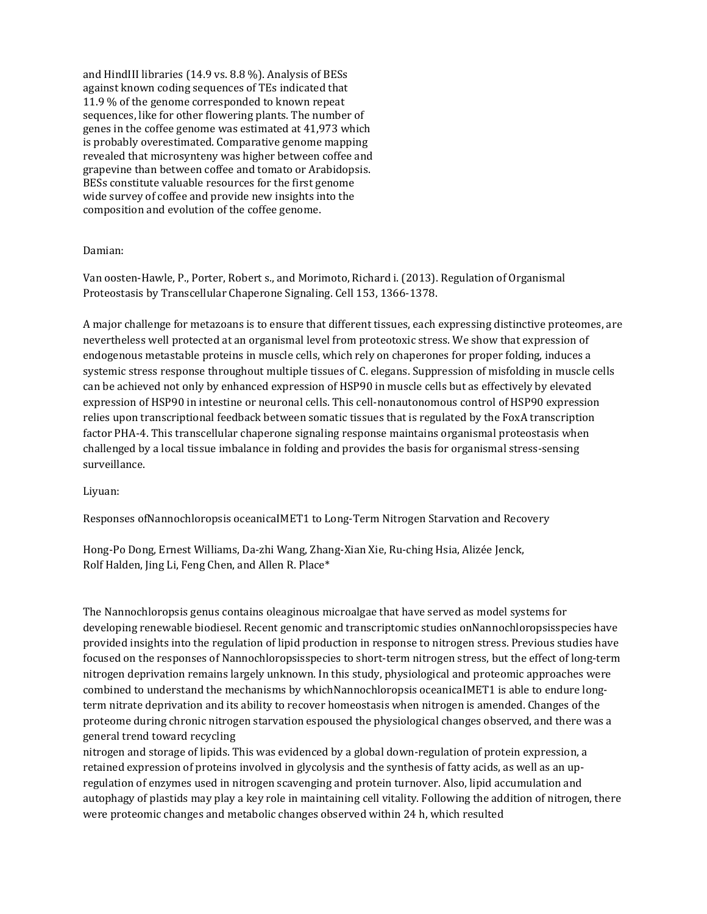and HindIII libraries (14.9 vs. 8.8 %). Analysis of BESs against known coding sequences of TEs indicated that 11.9 % of the genome corresponded to known repeat sequences, like for other flowering plants. The number of genes in the coffee genome was estimated at 41,973 which is probably overestimated. Comparative genome mapping revealed that microsynteny was higher between coffee and grapevine than between coffee and tomato or Arabidopsis. BESs constitute valuable resources for the first genome wide survey of coffee and provide new insights into the composition and evolution of the coffee genome.

### Damian:

Van oosten-Hawle, P., Porter, Robert s., and Morimoto, Richard i. (2013). Regulation of Organismal Proteostasis by Transcellular Chaperone Signaling. Cell 153, 1366-1378.

A major challenge for metazoans is to ensure that different tissues, each expressing distinctive proteomes, are nevertheless well protected at an organismal level from proteotoxic stress. We show that expression of endogenous metastable proteins in muscle cells, which rely on chaperones for proper folding, induces a systemic stress response throughout multiple tissues of C. elegans. Suppression of misfolding in muscle cells can be achieved not only by enhanced expression of HSP90 in muscle cells but as effectively by elevated expression of HSP90 in intestine or neuronal cells. This cell-nonautonomous control of HSP90 expression relies upon transcriptional feedback between somatic tissues that is regulated by the FoxA transcription factor PHA-4. This transcellular chaperone signaling response maintains organismal proteostasis when challenged by a local tissue imbalance in folding and provides the basis for organismal stress-sensing surveillance.

### Liyuan:

Responses ofNannochloropsis oceanicaIMET1 to Long-Term Nitrogen Starvation and Recovery

Hong-Po Dong, Ernest Williams, Da-zhi Wang, Zhang-Xian Xie, Ru-ching Hsia, Alizée Jenck, Rolf Halden, Jing Li, Feng Chen, and Allen R. Place\*

The Nannochloropsis genus contains oleaginous microalgae that have served as model systems for developing renewable biodiesel. Recent genomic and transcriptomic studies onNannochloropsisspecies have provided insights into the regulation of lipid production in response to nitrogen stress. Previous studies have focused on the responses of Nannochloropsisspecies to short-term nitrogen stress, but the effect of long-term nitrogen deprivation remains largely unknown. In this study, physiological and proteomic approaches were combined to understand the mechanisms by whichNannochloropsis oceanicaIMET1 is able to endure longterm nitrate deprivation and its ability to recover homeostasis when nitrogen is amended. Changes of the proteome during chronic nitrogen starvation espoused the physiological changes observed, and there was a general trend toward recycling

nitrogen and storage of lipids. This was evidenced by a global down-regulation of protein expression, a retained expression of proteins involved in glycolysis and the synthesis of fatty acids, as well as an upregulation of enzymes used in nitrogen scavenging and protein turnover. Also, lipid accumulation and autophagy of plastids may play a key role in maintaining cell vitality. Following the addition of nitrogen, there were proteomic changes and metabolic changes observed within 24 h, which resulted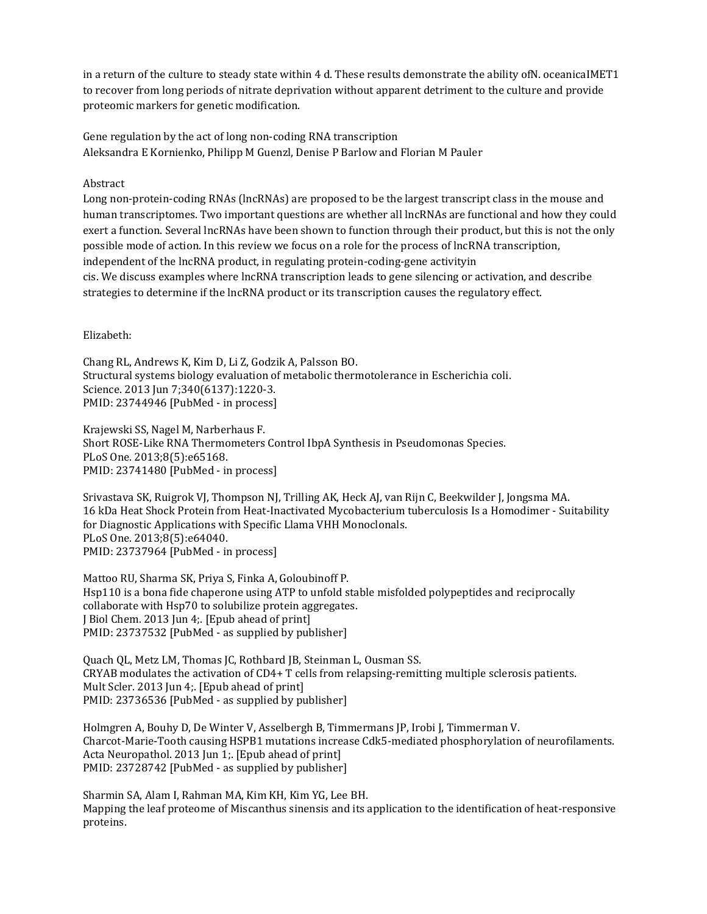in a return of the culture to steady state within 4 d. These results demonstrate the ability ofN. oceanicaIMET1 to recover from long periods of nitrate deprivation without apparent detriment to the culture and provide proteomic markers for genetic modification.

Gene regulation by the act of long non-coding RNA transcription Aleksandra E Kornienko, Philipp M Guenzl, Denise P Barlow and Florian M Pauler

## Abstract

Long non-protein-coding RNAs (lncRNAs) are proposed to be the largest transcript class in the mouse and human transcriptomes. Two important questions are whether all lncRNAs are functional and how they could exert a function. Several lncRNAs have been shown to function through their product, but this is not the only possible mode of action. In this review we focus on a role for the process of lncRNA transcription, independent of the lncRNA product, in regulating protein-coding-gene activityin cis. We discuss examples where lncRNA transcription leads to gene silencing or activation, and describe strategies to determine if the lncRNA product or its transcription causes the regulatory effect.

Elizabeth:

Chang RL, Andrews K, Kim D, Li Z, Godzik A, Palsson BO. Structural systems biology evaluation of metabolic thermotolerance in Escherichia coli. Science. 2013 Jun 7;340(6137):1220-3. PMID: 23744946 [PubMed - in process]

Krajewski SS, Nagel M, Narberhaus F. Short ROSE-Like RNA Thermometers Control IbpA Synthesis in Pseudomonas Species. PLoS One. 2013;8(5):e65168. PMID: 23741480 [PubMed - in process]

Srivastava SK, Ruigrok VJ, Thompson NJ, Trilling AK, Heck AJ, van Rijn C, Beekwilder J, Jongsma MA. 16 kDa Heat Shock Protein from Heat-Inactivated Mycobacterium tuberculosis Is a Homodimer - Suitability for Diagnostic Applications with Specific Llama VHH Monoclonals. PLoS One. 2013;8(5):e64040. PMID: 23737964 [PubMed - in process]

Mattoo RU, Sharma SK, Priya S, Finka A, Goloubinoff P. Hsp110 is a bona fide chaperone using ATP to unfold stable misfolded polypeptides and reciprocally collaborate with Hsp70 to solubilize protein aggregates. J Biol Chem. 2013 Jun 4;. [Epub ahead of print] PMID: 23737532 [PubMed - as supplied by publisher]

Quach QL, Metz LM, Thomas JC, Rothbard JB, Steinman L, Ousman SS. CRYAB modulates the activation of CD4+ T cells from relapsing-remitting multiple sclerosis patients. Mult Scler. 2013 Jun 4; [Epub ahead of print] PMID: 23736536 [PubMed - as supplied by publisher]

Holmgren A, Bouhy D, De Winter V, Asselbergh B, Timmermans JP, Irobi J, Timmerman V. Charcot-Marie-Tooth causing HSPB1 mutations increase Cdk5-mediated phosphorylation of neurofilaments. Acta Neuropathol. 2013 Jun 1;. [Epub ahead of print] PMID: 23728742 [PubMed - as supplied by publisher]

Sharmin SA, Alam I, Rahman MA, Kim KH, Kim YG, Lee BH. Mapping the leaf proteome of Miscanthus sinensis and its application to the identification of heat-responsive proteins.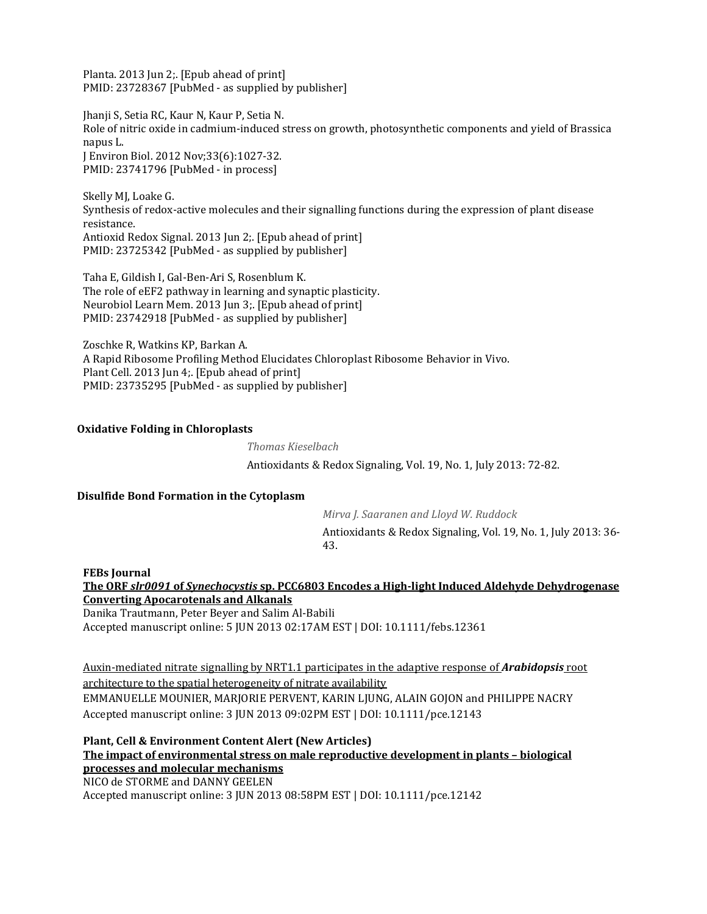Planta. 2013 Jun 2;. [Epub ahead of print] PMID: 23728367 [PubMed - as supplied by publisher]

Jhanji S, Setia RC, Kaur N, Kaur P, Setia N. Role of nitric oxide in cadmium-induced stress on growth, photosynthetic components and yield of Brassica napus L. J Environ Biol. 2012 Nov;33(6):1027-32. PMID: 23741796 [PubMed - in process]

Skelly MJ, Loake G. Synthesis of redox-active molecules and their signalling functions during the expression of plant disease resistance. Antioxid Redox Signal. 2013 Jun 2;. [Epub ahead of print] PMID: 23725342 [PubMed - as supplied by publisher]

Taha E, Gildish I, Gal-Ben-Ari S, Rosenblum K. The role of eEF2 pathway in learning and synaptic plasticity. Neurobiol Learn Mem. 2013 Jun 3;. [Epub ahead of print] PMID: 23742918 [PubMed - as supplied by publisher]

Zoschke R, Watkins KP, Barkan A. A Rapid Ribosome Profiling Method Elucidates Chloroplast Ribosome Behavior in Vivo. Plant Cell. 2013 Jun 4;. [Epub ahead of print] PMID: 23735295 [PubMed - as supplied by publisher]

### **Oxidative Folding in Chloroplasts**

*Thomas Kieselbach* Antioxidants & Redox Signaling, Vol. 19, No. 1, July 2013: 72-82.

#### **Disulfide Bond Formation in the Cytoplasm**

*Mirva J. Saaranen and Lloyd W. Ruddock* Antioxidants & Redox Signaling, Vol. 19, No. 1, July 2013: 36- 43.

**FEBs Journal The ORF** *slr0091* **of** *Synechocystis* **[sp. PCC6803 Encodes a High-light Induced Aldehyde Dehydrogenase](http://onlinelibrary.wiley.com/doi/10.1111/febs.12361/abstract)  [Converting Apocarotenals and Alkanals](http://onlinelibrary.wiley.com/doi/10.1111/febs.12361/abstract)**

Danika Trautmann, Peter Beyer and Salim Al-Babili Accepted manuscript online: 5 JUN 2013 02:17AM EST | DOI: 10.1111/febs.12361

Auxin-[mediated nitrate signalling by NRT1.1 participates in the adaptive response of](http://onlinelibrary.wiley.com/doi/10.1111/pce.12143/abstract) *Arabidopsis* root [architecture to the spatial heterogeneity of nitrate availability](http://onlinelibrary.wiley.com/doi/10.1111/pce.12143/abstract) EMMANUELLE MOUNIER, MARJORIE PERVENT, KARIN LJUNG, ALAIN GOJON and PHILIPPE NACRY Accepted manuscript online: 3 JUN 2013 09:02PM EST | DOI: 10.1111/pce.12143

**Plant, Cell & Environment Content Alert (New Articles) [The impact of environmental stress on male reproductive development in plants –](http://onlinelibrary.wiley.com/doi/10.1111/pce.12142/abstract) biological [processes and molecular mechanisms](http://onlinelibrary.wiley.com/doi/10.1111/pce.12142/abstract)** NICO de STORME and DANNY GEELEN

Accepted manuscript online: 3 JUN 2013 08:58PM EST | DOI: 10.1111/pce.12142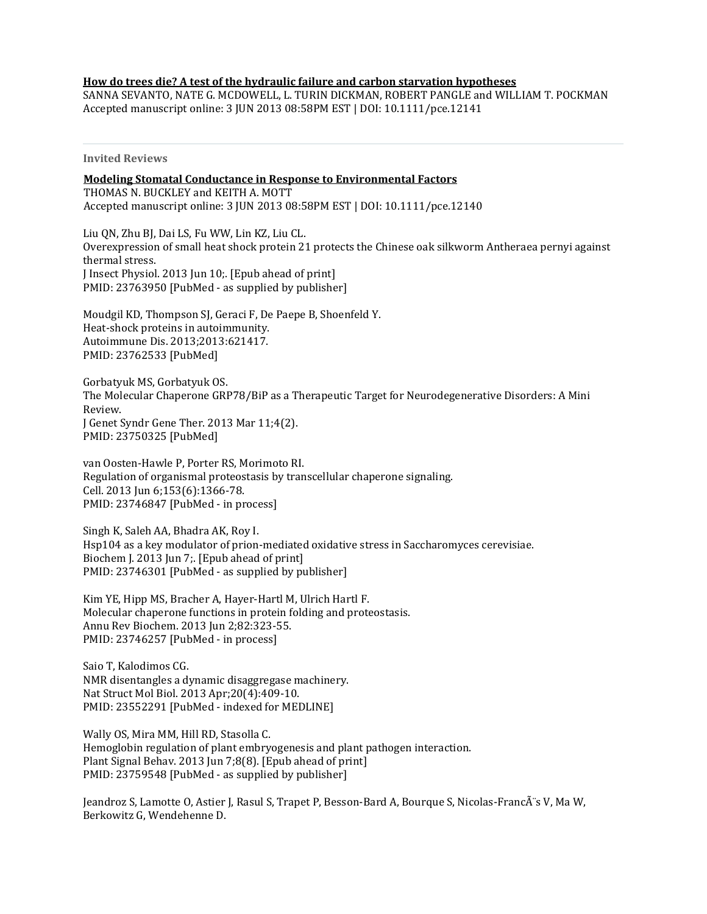### **[How do trees die? A test of the hydraulic failure and carbon starvation hypotheses](http://onlinelibrary.wiley.com/doi/10.1111/pce.12141/abstract)**

SANNA SEVANTO, NATE G. MCDOWELL, L. TURIN DICKMAN, ROBERT PANGLE and WILLIAM T. POCKMAN Accepted manuscript online: 3 JUN 2013 08:58PM EST | DOI: 10.1111/pce.12141

**Invited Reviews**

**[Modeling Stomatal Conductance in Response to Environmental Factors](http://onlinelibrary.wiley.com/doi/10.1111/pce.12140/abstract)** THOMAS N. BUCKLEY and KEITH A. MOTT Accepted manuscript online: 3 JUN 2013 08:58PM EST | DOI: 10.1111/pce.12140

Liu QN, Zhu BJ, Dai LS, Fu WW, Lin KZ, Liu CL. Overexpression of small heat shock protein 21 protects the Chinese oak silkworm Antheraea pernyi against thermal stress. J Insect Physiol. 2013 Jun 10;. [Epub ahead of print] PMID: 23763950 [PubMed - as supplied by publisher]

Moudgil KD, Thompson SJ, Geraci F, De Paepe B, Shoenfeld Y. Heat-shock proteins in autoimmunity. Autoimmune Dis. 2013;2013:621417. PMID: 23762533 [PubMed]

Gorbatyuk MS, Gorbatyuk OS. The Molecular Chaperone GRP78/BiP as a Therapeutic Target for Neurodegenerative Disorders: A Mini Review. J Genet Syndr Gene Ther. 2013 Mar 11;4(2). PMID: 23750325 [PubMed]

van Oosten-Hawle P, Porter RS, Morimoto RI. Regulation of organismal proteostasis by transcellular chaperone signaling. Cell. 2013 Jun 6;153(6):1366-78. PMID: 23746847 [PubMed - in process]

Singh K, Saleh AA, Bhadra AK, Roy I. Hsp104 as a key modulator of prion-mediated oxidative stress in Saccharomyces cerevisiae. Biochem J. 2013 Jun 7;. [Epub ahead of print] PMID: 23746301 [PubMed - as supplied by publisher]

Kim YE, Hipp MS, Bracher A, Hayer-Hartl M, Ulrich Hartl F. Molecular chaperone functions in protein folding and proteostasis. Annu Rev Biochem. 2013 Jun 2;82:323-55. PMID: 23746257 [PubMed - in process]

Saio T, Kalodimos CG. NMR disentangles a dynamic disaggregase machinery. Nat Struct Mol Biol. 2013 Apr;20(4):409-10. PMID: 23552291 [PubMed - indexed for MEDLINE]

Wally OS, Mira MM, Hill RD, Stasolla C. Hemoglobin regulation of plant embryogenesis and plant pathogen interaction. Plant Signal Behav. 2013 Jun 7;8(8). [Epub ahead of print] PMID: 23759548 [PubMed - as supplied by publisher]

Jeandroz S, Lamotte O, Astier J, Rasul S, Trapet P, Besson-Bard A, Bourque S, Nicolas-FrancÂs V, Ma W, Berkowitz G, Wendehenne D.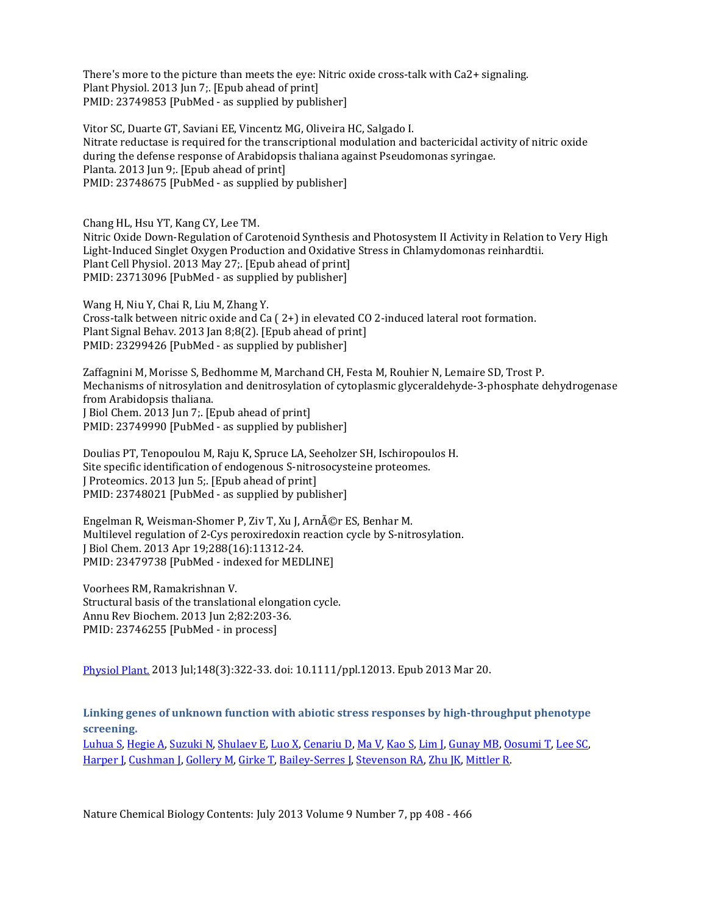There's more to the picture than meets the eye: Nitric oxide cross-talk with Ca2+ signaling. Plant Physiol. 2013 Jun 7;. [Epub ahead of print] PMID: 23749853 [PubMed - as supplied by publisher]

Vitor SC, Duarte GT, Saviani EE, Vincentz MG, Oliveira HC, Salgado I. Nitrate reductase is required for the transcriptional modulation and bactericidal activity of nitric oxide during the defense response of Arabidopsis thaliana against Pseudomonas syringae. Planta. 2013 Jun 9;. [Epub ahead of print] PMID: 23748675 [PubMed - as supplied by publisher]

Chang HL, Hsu YT, Kang CY, Lee TM. Nitric Oxide Down-Regulation of Carotenoid Synthesis and Photosystem II Activity in Relation to Very High Light-Induced Singlet Oxygen Production and Oxidative Stress in Chlamydomonas reinhardtii. Plant Cell Physiol. 2013 May 27;. [Epub ahead of print] PMID: 23713096 [PubMed - as supplied by publisher]

Wang H, Niu Y, Chai R, Liu M, Zhang Y. Cross-talk between nitric oxide and Ca ( 2+) in elevated CO 2-induced lateral root formation. Plant Signal Behav. 2013 Jan 8;8(2). [Epub ahead of print] PMID: 23299426 [PubMed - as supplied by publisher]

Zaffagnini M, Morisse S, Bedhomme M, Marchand CH, Festa M, Rouhier N, Lemaire SD, Trost P. Mechanisms of nitrosylation and denitrosylation of cytoplasmic glyceraldehyde-3-phosphate dehydrogenase from Arabidopsis thaliana. J Biol Chem. 2013 Jun 7;. [Epub ahead of print] PMID: 23749990 [PubMed - as supplied by publisher]

Doulias PT, Tenopoulou M, Raju K, Spruce LA, Seeholzer SH, Ischiropoulos H. Site specific identification of endogenous S-nitrosocysteine proteomes. J Proteomics. 2013 Jun 5;. [Epub ahead of print] PMID: 23748021 [PubMed - as supplied by publisher]

Engelman R, Weisman-Shomer P, Ziv T, Xu J, Arnér ES, Benhar M. Multilevel regulation of 2-Cys peroxiredoxin reaction cycle by S-nitrosylation. J Biol Chem. 2013 Apr 19;288(16):11312-24. PMID: 23479738 [PubMed - indexed for MEDLINE]

Voorhees RM, Ramakrishnan V. Structural basis of the translational elongation cycle. Annu Rev Biochem. 2013 Jun 2;82:203-36. PMID: 23746255 [PubMed - in process]

[Physiol Plant.](http://www.ncbi.nlm.nih.gov/pubmed/23517122) 2013 Jul;148(3):322-33. doi: 10.1111/ppl.12013. Epub 2013 Mar 20.

**Linking genes of unknown function with abiotic stress responses by high-throughput phenotype screening.**

[Luhua S,](http://www.ncbi.nlm.nih.gov/pubmed?term=Luhua%20S%5BAuthor%5D&cauthor=true&cauthor_uid=23517122) [Hegie A](http://www.ncbi.nlm.nih.gov/pubmed?term=Hegie%20A%5BAuthor%5D&cauthor=true&cauthor_uid=23517122), [Suzuki N,](http://www.ncbi.nlm.nih.gov/pubmed?term=Suzuki%20N%5BAuthor%5D&cauthor=true&cauthor_uid=23517122) [Shulaev E](http://www.ncbi.nlm.nih.gov/pubmed?term=Shulaev%20E%5BAuthor%5D&cauthor=true&cauthor_uid=23517122), [Luo X](http://www.ncbi.nlm.nih.gov/pubmed?term=Luo%20X%5BAuthor%5D&cauthor=true&cauthor_uid=23517122), [Cenariu D](http://www.ncbi.nlm.nih.gov/pubmed?term=Cenariu%20D%5BAuthor%5D&cauthor=true&cauthor_uid=23517122), [Ma V](http://www.ncbi.nlm.nih.gov/pubmed?term=Ma%20V%5BAuthor%5D&cauthor=true&cauthor_uid=23517122), [Kao S](http://www.ncbi.nlm.nih.gov/pubmed?term=Kao%20S%5BAuthor%5D&cauthor=true&cauthor_uid=23517122), [Lim J](http://www.ncbi.nlm.nih.gov/pubmed?term=Lim%20J%5BAuthor%5D&cauthor=true&cauthor_uid=23517122), [Gunay MB](http://www.ncbi.nlm.nih.gov/pubmed?term=Gunay%20MB%5BAuthor%5D&cauthor=true&cauthor_uid=23517122), [Oosumi T](http://www.ncbi.nlm.nih.gov/pubmed?term=Oosumi%20T%5BAuthor%5D&cauthor=true&cauthor_uid=23517122), [Lee SC](http://www.ncbi.nlm.nih.gov/pubmed?term=Lee%20SC%5BAuthor%5D&cauthor=true&cauthor_uid=23517122), [Harper J](http://www.ncbi.nlm.nih.gov/pubmed?term=Harper%20J%5BAuthor%5D&cauthor=true&cauthor_uid=23517122), [Cushman J](http://www.ncbi.nlm.nih.gov/pubmed?term=Cushman%20J%5BAuthor%5D&cauthor=true&cauthor_uid=23517122), [Gollery M](http://www.ncbi.nlm.nih.gov/pubmed?term=Gollery%20M%5BAuthor%5D&cauthor=true&cauthor_uid=23517122), [Girke T](http://www.ncbi.nlm.nih.gov/pubmed?term=Girke%20T%5BAuthor%5D&cauthor=true&cauthor_uid=23517122), Bailey-[Serres J](http://www.ncbi.nlm.nih.gov/pubmed?term=Bailey-Serres%20J%5BAuthor%5D&cauthor=true&cauthor_uid=23517122), [Stevenson RA](http://www.ncbi.nlm.nih.gov/pubmed?term=Stevenson%20RA%5BAuthor%5D&cauthor=true&cauthor_uid=23517122), [Zhu JK](http://www.ncbi.nlm.nih.gov/pubmed?term=Zhu%20JK%5BAuthor%5D&cauthor=true&cauthor_uid=23517122), [Mittler R](http://www.ncbi.nlm.nih.gov/pubmed?term=Mittler%20R%5BAuthor%5D&cauthor=true&cauthor_uid=23517122).

Nature Chemical Biology Contents: July 2013 Volume 9 Number 7, pp 408 - 466